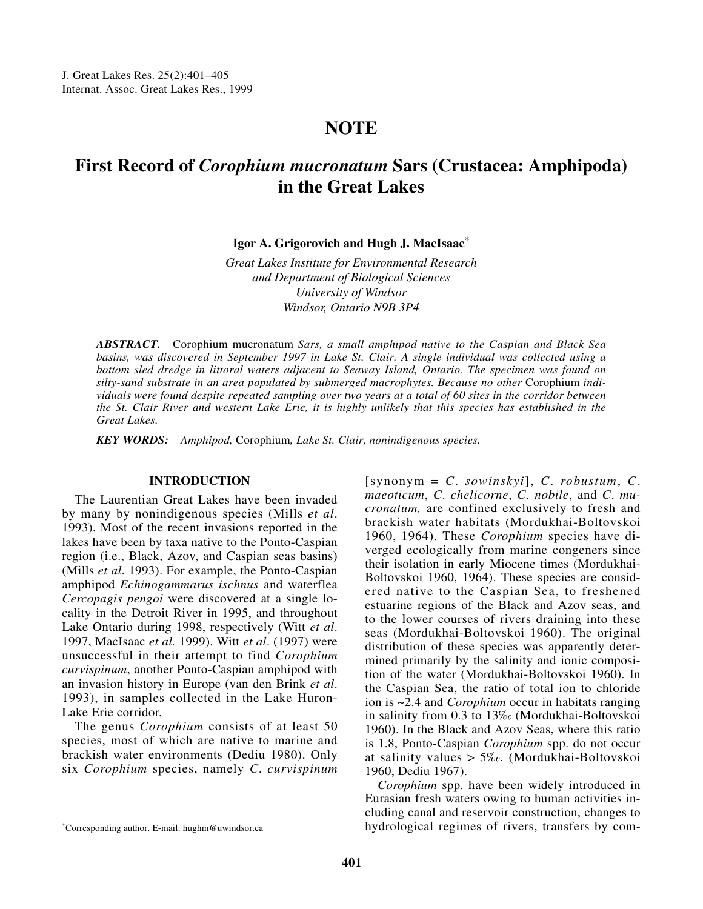## **NOTE**

# **First Record of** *Corophium mucronatum* **Sars (Crustacea: Amphipoda) in the Great Lakes**

**Igor A. Grigorovich and Hugh J. MacIsaac\***

*Great Lakes Institute for Environmental Research and Department of Biological Sciences University of Windsor Windsor, Ontario N9B 3P4*

*ABSTRACT.* Corophium mucronatum *Sars, a small amphipod native to the Caspian and Black Sea basins, was discovered in September 1997 in Lake St. Clair. A single individual was collected using a bottom sled dredge in littoral waters adjacent to Seaway Island, Ontario. The specimen was found on* silty-sand substrate in an area populated by submerged macrophytes. Because no other Corophium indi*viduals were found despite repeated sampling over two years at a total of 60 sites in the corridor between the St. Clair River and western Lake Erie, it is highly unlikely that this species has established in the Great Lakes.* 

*KEY WORDS: Amphipod,* Corophium*, Lake St. Clair, nonindigenous species.*

### **INTRODUCTION**

The Laurentian Great Lakes have been invaded by many by nonindigenous species (Mills *et al*. 1993). Most of the recent invasions reported in the lakes have been by taxa native to the Ponto-Caspian region (i.e., Black, Azov, and Caspian seas basins) (Mills *et al*. 1993). For example, the Ponto-Caspian amphipod *Echinogammarus ischnus* and waterflea *Cercopagis pengoi* were discovered at a single locality in the Detroit River in 1995, and throughout Lake Ontario during 1998, respectively (Witt *et al*. 1997, MacIsaac *et al.* 1999). Witt *et al*. (1997) were unsuccessful in their attempt to find *Corophium curvispinum*, another Ponto-Caspian amphipod with an invasion history in Europe (van den Brink *et al*. 1993), in samples collected in the Lake Huron-Lake Erie corridor.

The genus *Corophium* consists of at least 50 species, most of which are native to marine and brackish water environments (Dediu 1980). Only six *Corophium* species, namely *C*. *curvispinum*

[synonym = *C*. *sowinskyi*], *C*. *robustum*, *C*. *maeoticum*, *C*. *chelicorne*, *C*. *nobile*, and *C*. *mucronatum,* are confined exclusively to fresh and brackish water habitats (Mordukhai-Boltovskoi 1960, 1964). These *Corophium* species have diverged ecologically from marine congeners since their isolation in early Miocene times (Mordukhai-Boltovskoi 1960, 1964). These species are considered native to the Caspian Sea, to freshened estuarine regions of the Black and Azov seas, and to the lower courses of rivers draining into these seas (Mordukhai-Boltovskoi 1960). The original distribution of these species was apparently determined primarily by the salinity and ionic composition of the water (Mordukhai-Boltovskoi 1960). In the Caspian Sea, the ratio of total ion to chloride ion is ~2.4 and *Corophium* occur in habitats ranging in salinity from 0.3 to 13‰ (Mordukhai-Boltovskoi 1960). In the Black and Azov Seas, where this ratio is 1.8, Ponto-Caspian *Corophium* spp. do not occur at salinity values > 5‰. (Mordukhai-Boltovskoi 1960, Dediu 1967).

*Corophium* spp. have been widely introduced in Eurasian fresh waters owing to human activities including canal and reservoir construction, changes to hydrological regimes of rivers, transfers by com- \*Corresponding author. E-mail: hughm@uwindsor.ca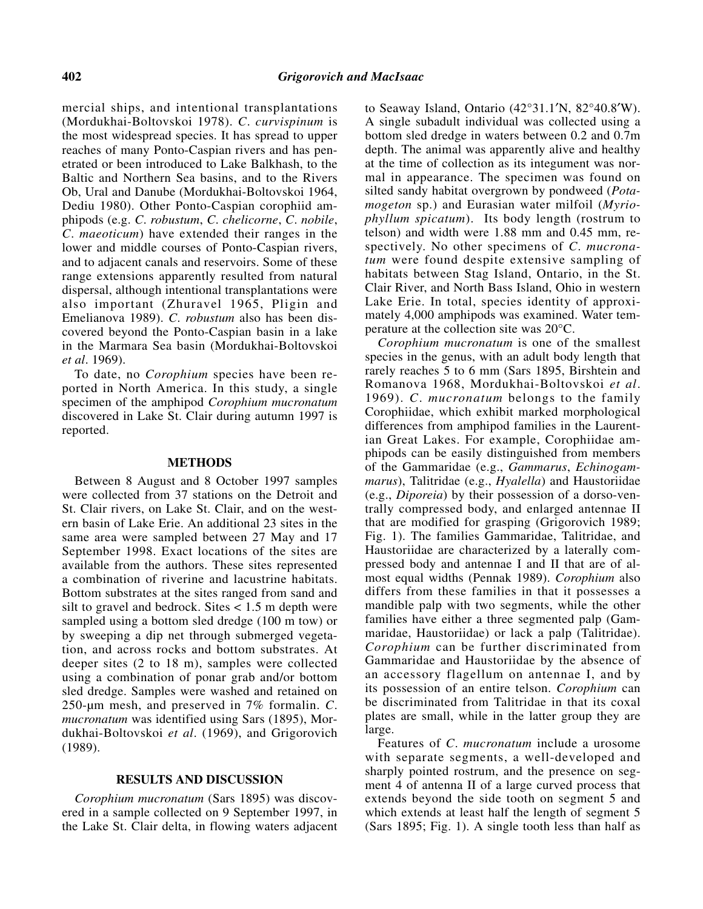mercial ships, and intentional transplantations (Mordukhai-Boltovskoi 1978). *C*. *curvispinum* is the most widespread species. It has spread to upper reaches of many Ponto-Caspian rivers and has penetrated or been introduced to Lake Balkhash, to the Baltic and Northern Sea basins, and to the Rivers Ob, Ural and Danube (Mordukhai-Boltovskoi 1964, Dediu 1980). Other Ponto-Caspian corophiid amphipods (e.g. *C*. *robustum*, *C*. *chelicorne*, *C*. *nobile*, *C*. *maeoticum*) have extended their ranges in the lower and middle courses of Ponto-Caspian rivers, and to adjacent canals and reservoirs. Some of these range extensions apparently resulted from natural dispersal, although intentional transplantations were also important (Zhuravel 1965, Pligin and Emelianova 1989). *C*. *robustum* also has been discovered beyond the Ponto-Caspian basin in a lake in the Marmara Sea basin (Mordukhai-Boltovskoi *et al*. 1969).

To date, no *Corophium* species have been reported in North America. In this study, a single specimen of the amphipod *Corophium mucronatum* discovered in Lake St. Clair during autumn 1997 is reported.

#### **METHODS**

Between 8 August and 8 October 1997 samples were collected from 37 stations on the Detroit and St. Clair rivers, on Lake St. Clair, and on the western basin of Lake Erie. An additional 23 sites in the same area were sampled between 27 May and 17 September 1998. Exact locations of the sites are available from the authors. These sites represented a combination of riverine and lacustrine habitats. Bottom substrates at the sites ranged from sand and silt to gravel and bedrock. Sites  $< 1.5$  m depth were sampled using a bottom sled dredge (100 m tow) or by sweeping a dip net through submerged vegetation, and across rocks and bottom substrates. At deeper sites (2 to 18 m), samples were collected using a combination of ponar grab and/or bottom sled dredge. Samples were washed and retained on 250-µm mesh, and preserved in 7% formalin. *C*. *mucronatum* was identified using Sars (1895), Mordukhai-Boltovskoi *et al*. (1969), and Grigorovich (1989).

## **RESULTS AND DISCUSSION**

*Corophium mucronatum* (Sars 1895) was discovered in a sample collected on 9 September 1997, in the Lake St. Clair delta, in flowing waters adjacent

to Seaway Island, Ontario (42°31.1′N, 82°40.8′W). A single subadult individual was collected using a bottom sled dredge in waters between 0.2 and 0.7m depth. The animal was apparently alive and healthy at the time of collection as its integument was normal in appearance. The specimen was found on silted sandy habitat overgrown by pondweed (*Potamogeton* sp.) and Eurasian water milfoil (*Myriophyllum spicatum*). Its body length (rostrum to telson) and width were 1.88 mm and 0.45 mm, respectively. No other specimens of *C*. *mucronatum* were found despite extensive sampling of habitats between Stag Island, Ontario, in the St. Clair River, and North Bass Island, Ohio in western Lake Erie. In total, species identity of approximately 4,000 amphipods was examined. Water temperature at the collection site was 20°C.

*Corophium mucronatum* is one of the smallest species in the genus, with an adult body length that rarely reaches 5 to 6 mm (Sars 1895, Birshtein and Romanova 1968, Mordukhai-Boltovskoi *et al*. 1969). *C*. *mucronatum* belongs to the family Corophiidae, which exhibit marked morphological differences from amphipod families in the Laurentian Great Lakes. For example, Corophiidae amphipods can be easily distinguished from members of the Gammaridae (e.g., *Gammarus*, *Echinogammarus*), Talitridae (e.g., *Hyalella*) and Haustoriidae (e.g., *Diporeia*) by their possession of a dorso-ventrally compressed body, and enlarged antennae II that are modified for grasping (Grigorovich 1989; Fig. 1). The families Gammaridae, Talitridae, and Haustoriidae are characterized by a laterally compressed body and antennae I and II that are of almost equal widths (Pennak 1989). *Corophium* also differs from these families in that it possesses a mandible palp with two segments, while the other families have either a three segmented palp (Gammaridae, Haustoriidae) or lack a palp (Talitridae). *Corophium* can be further discriminated from Gammaridae and Haustoriidae by the absence of an accessory flagellum on antennae I, and by its possession of an entire telson. *Corophium* can be discriminated from Talitridae in that its coxal plates are small, while in the latter group they are large.

Features of *C*. *mucronatum* include a urosome with separate segments, a well-developed and sharply pointed rostrum, and the presence on segment 4 of antenna II of a large curved process that extends beyond the side tooth on segment 5 and which extends at least half the length of segment 5 (Sars 1895; Fig. 1). A single tooth less than half as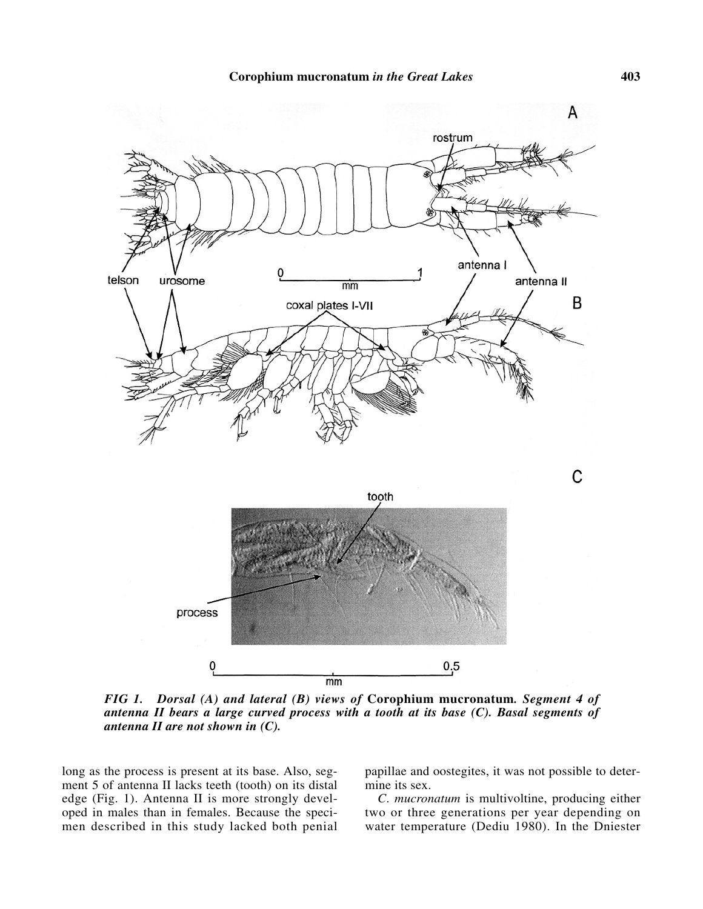

*FIG 1. Dorsal (A) and lateral (B) views of* **Corophium mucronatum***. Segment 4 of antenna II bears a large curved process with a tooth at its base (C). Basal segments of antenna II are not shown in (C).*

long as the process is present at its base. Also, segment 5 of antenna II lacks teeth (tooth) on its distal edge (Fig. 1). Antenna II is more strongly developed in males than in females. Because the specimen described in this study lacked both penial papillae and oostegites, it was not possible to determine its sex.

*C*. *mucronatum* is multivoltine, producing either two or three generations per year depending on water temperature (Dediu 1980). In the Dniester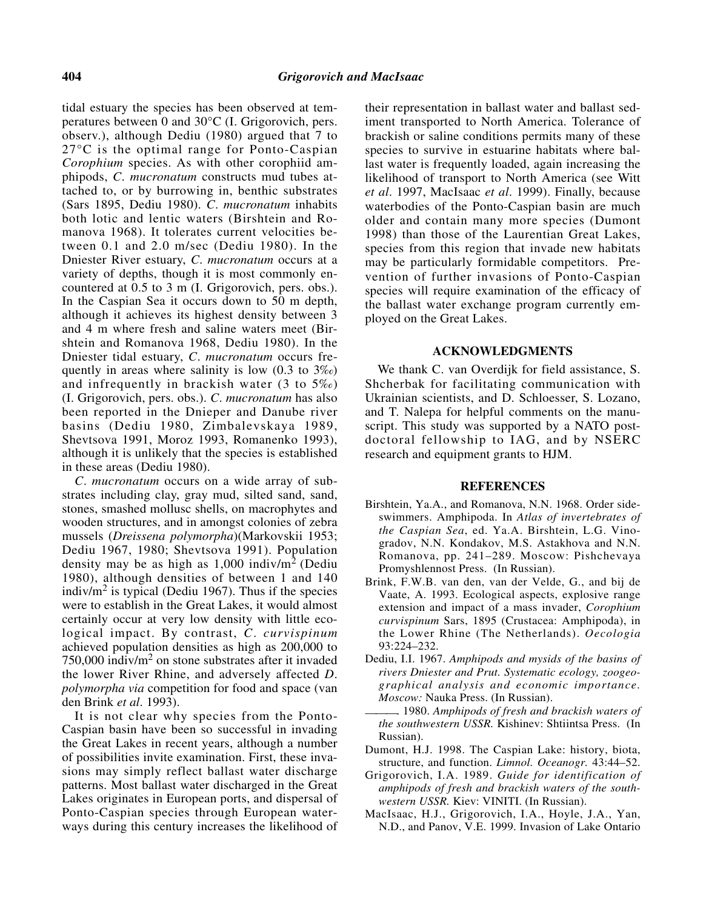tidal estuary the species has been observed at temperatures between 0 and 30°C (I. Grigorovich, pers. observ.), although Dediu (1980) argued that 7 to 27°C is the optimal range for Ponto-Caspian *Corophium* species. As with other corophiid amphipods, *C*. *mucronatum* constructs mud tubes attached to, or by burrowing in, benthic substrates (Sars 1895, Dediu 1980). *C*. *mucronatum* inhabits both lotic and lentic waters (Birshtein and Romanova 1968). It tolerates current velocities between 0.1 and 2.0 m/sec (Dediu 1980). In the Dniester River estuary, *C*. *mucronatum* occurs at a variety of depths, though it is most commonly encountered at 0.5 to 3 m (I. Grigorovich, pers. obs.). In the Caspian Sea it occurs down to 50 m depth, although it achieves its highest density between 3 and 4 m where fresh and saline waters meet (Birshtein and Romanova 1968, Dediu 1980). In the Dniester tidal estuary, *C*. *mucronatum* occurs frequently in areas where salinity is low  $(0.3 \text{ to } 3\%)$ and infrequently in brackish water (3 to 5‰) (I. Grigorovich, pers. obs.). *C*. *mucronatum* has also been reported in the Dnieper and Danube river basins (Dediu 1980, Zimbalevskaya 1989, Shevtsova 1991, Moroz 1993, Romanenko 1993), although it is unlikely that the species is established in these areas (Dediu 1980).

*C*. *mucronatum* occurs on a wide array of substrates including clay, gray mud, silted sand, sand, stones, smashed mollusc shells, on macrophytes and wooden structures, and in amongst colonies of zebra mussels (*Dreissena polymorpha*)(Markovskii 1953; Dediu 1967, 1980; Shevtsova 1991). Population density may be as high as  $1,000$  indiv/m<sup>2</sup> (Dediu 1980), although densities of between 1 and 140 indiv/ $m<sup>2</sup>$  is typical (Dediu 1967). Thus if the species were to establish in the Great Lakes, it would almost certainly occur at very low density with little ecological impact. By contrast, *C*. *curvispinum* achieved population densities as high as 200,000 to  $750,000$  indiv/m<sup>2</sup> on stone substrates after it invaded the lower River Rhine, and adversely affected *D*. *polymorpha via* competition for food and space (van den Brink *et al*. 1993).

It is not clear why species from the Ponto-Caspian basin have been so successful in invading the Great Lakes in recent years, although a number of possibilities invite examination. First, these invasions may simply reflect ballast water discharge patterns. Most ballast water discharged in the Great Lakes originates in European ports, and dispersal of Ponto-Caspian species through European waterways during this century increases the likelihood of

their representation in ballast water and ballast sediment transported to North America. Tolerance of brackish or saline conditions permits many of these species to survive in estuarine habitats where ballast water is frequently loaded, again increasing the likelihood of transport to North America (see Witt *et al*. 1997, MacIsaac *et al*. 1999). Finally, because waterbodies of the Ponto-Caspian basin are much older and contain many more species (Dumont 1998) than those of the Laurentian Great Lakes, species from this region that invade new habitats may be particularly formidable competitors. Prevention of further invasions of Ponto-Caspian species will require examination of the efficacy of the ballast water exchange program currently employed on the Great Lakes.

#### **ACKNOWLEDGMENTS**

We thank C. van Overdijk for field assistance, S. Shcherbak for facilitating communication with Ukrainian scientists, and D. Schloesser, S. Lozano, and T. Nalepa for helpful comments on the manuscript. This study was supported by a NATO postdoctoral fellowship to IAG, and by NSERC research and equipment grants to HJM.

#### **REFERENCES**

- Birshtein, Ya.A., and Romanova, N.N. 1968. Order sideswimmers. Amphipoda. In *Atlas of invertebrates of the Caspian Sea*, ed. Ya.A. Birshtein, L.G. Vinogradov, N.N. Kondakov, M.S. Astakhova and N.N. Romanova, pp. 241–289. Moscow: Pishchevaya Promyshlennost Press. (In Russian).
- Brink, F.W.B. van den, van der Velde, G., and bij de Vaate, A. 1993. Ecological aspects, explosive range extension and impact of a mass invader, *Corophium curvispinum* Sars, 1895 (Crustacea: Amphipoda), in the Lower Rhine (The Netherlands). *Oecologia* 93:224–232.
- Dediu, I.I. 1967. *Amphipods and mysids of the basins of rivers Dniester and Prut. Systematic ecology, zoogeographical analysis and economic importance. Moscow:* Nauka Press. (In Russian).
- ———. 1980. *Amphipods of fresh and brackish waters of the southwestern USSR.* Kishinev: Shtiintsa Press. (In Russian).
- Dumont, H.J. 1998. The Caspian Lake: history, biota, structure, and function. *Limnol. Oceanogr.* 43:44–52.
- Grigorovich, I.A. 1989. *Guide for identification of amphipods of fresh and brackish waters of the southwestern USSR.* Kiev: VINITI. (In Russian).
- MacIsaac, H.J., Grigorovich, I.A., Hoyle, J.A., Yan, N.D., and Panov, V.E. 1999. Invasion of Lake Ontario